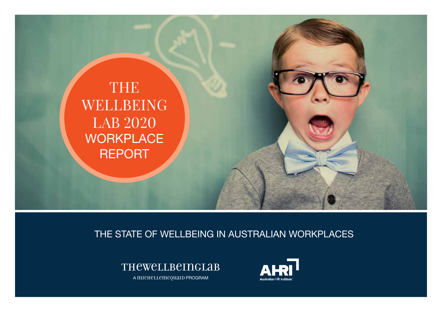

### THE STATE OF WELLBEING IN AUSTRALIAN WORKPLACES





A michellemcquaid PROGRAM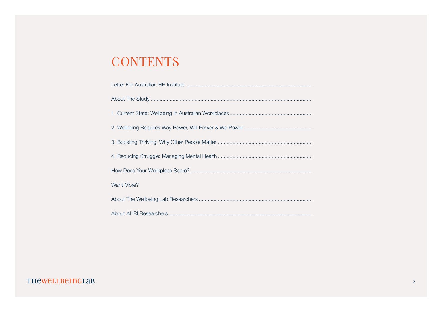## **CONTENTS**

| Want More? |
|------------|
|            |
|            |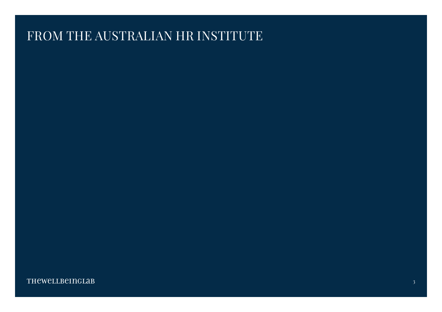## FROM THE AUSTRALIAN HR INSTITUTE

THEWELLBEINGLAB 3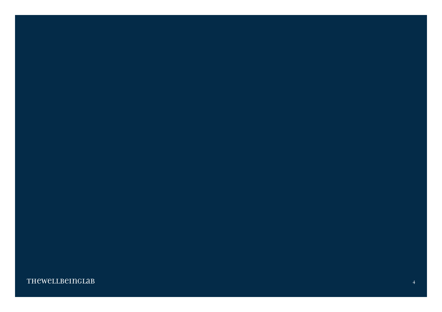THEWELLBEINGLAB 4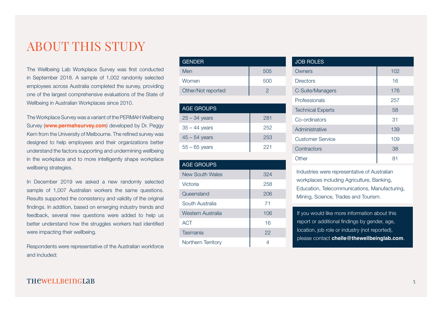## ABOUT THIS STUDY

The Wellbeing Lab Workplace Survey was first conducted in September 2018. A sample of 1,002 randomly selected employees across Australia completed the survey, providing one of the largest comprehensive evaluations of the State of Wellbeing in Australian Workplaces since 2010.

The Workplace Survey was a variant of the PERMAH Wellbeing Survey (**[www.permahsurvey.com](http://www.permahsurvey.com)**) developed by Dr. Peggy Kern from the University of Melbourne. The refined survey was designed to help employees and their organizations better understand the factors supporting and undermining wellbeing in the workplace and to more intelligently shape workplace wellbeing strategies.

In December 2019 we asked a new randomly selected sample of 1,007 Australian workers the same questions. Results supported the consistency and validity of the original findings. In addition, based on emerging industry trends and feedback, several new questions were added to help us better understand how the struggles workers had identified were impacting their wellbeing.

Respondents were representative of the Australian workforce and included:

| 505 |
|-----|
| 500 |
| 2   |
|     |

| AGE GROUPS      |     |
|-----------------|-----|
| $25 - 34$ years | 281 |
| $35 - 44$ years | 252 |
| $45 - 54$ years | 253 |
| $55 - 65$ years | 221 |

| <b>AGE GROUPS</b>      |     |
|------------------------|-----|
| <b>New South Wales</b> | 324 |
| Victoria               | 258 |
| Queensland             | 206 |
| South Australia        | 71  |
| Western Australia      | 106 |
| <b>ACT</b>             | 16  |
| Tasmania               | 22  |
| Northern Territory     |     |

| <b>JOB ROLES</b>         |     |
|--------------------------|-----|
| Owners                   | 102 |
| <b>Directors</b>         | 16  |
| C-Suite/Managers         | 176 |
| Professionals            | 257 |
| <b>Technical Experts</b> | 58  |
| Co-ordinators            | 31  |
| Administrative           | 139 |
| <b>Customer Service</b>  | 109 |
| Contractors              | 38  |
| Other                    | 81  |
|                          |     |

Industries were representative of Australian workplaces including Agriculture, Banking, Education, Telecommunications, Manufacturing, Mining, Science, Trades and Tourism.

If you would like more information about this report or additional findings by gender, age, location, job role or industry (not reported), please contact **[chelle@thewellbeinglab.com](mailto:chelle@thewellbeinglab.com)**.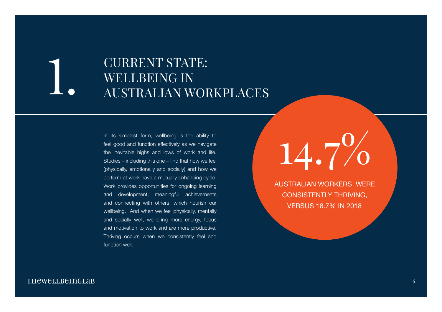## XELLBEING IN<br>
NELLBEING IN<br>
AUSTRALIAN WORKPLACES WELLBEING IN

In its simplest form, wellbeing is the ability to feel good and function effectively as we navigate the inevitable highs and lows of work and life. Studies – including this one – find that how we feel (physically, emotionally and socially) and how we perform at work have a mutually enhancing cycle. Work provides opportunities for ongoing learning and development, meaningful achievements and connecting with others, which nourish our wellbeing. And when we feel physically, mentally and socially well, we bring more energy, focus and motivation to work and are more productive. Thriving occurs when we consistently feel and function well

# 14.7%

AUSTRALIAN WORKERS WERE CONSISTENTLY THRIVING, VERSUS 18.7% IN 2018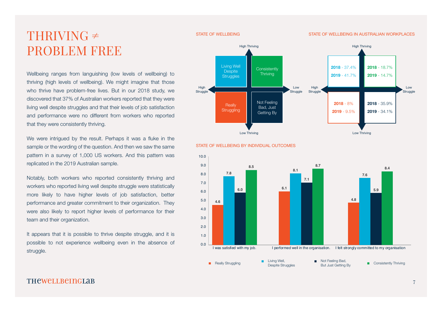## THRIVING ≠ PROBLEM FREE

Wellbeing ranges from languishing (low levels of wellbeing) to thriving (high levels of wellbeing). We might imagine that those who thrive have problem-free lives. But in our 2018 study, we discovered that 37% of Australian workers reported that they were living well despite struggles and that their levels of job satisfaction and performance were no different from workers who reported that they were consistently thriving.

We were intrigued by the result. Perhaps it was a fluke in the sample or the wording of the question. And then we saw the same pattern in a survey of 1,000 US workers. And this pattern was replicated in the 2019 Australian sample.

Notably, both workers who reported consistently thriving and workers who reported living well despite struggle were statistically more likely to have higher levels of job satisfaction, better performance and greater commitment to their organization. They were also likely to report higher levels of performance for their team and their organization.

It appears that it is possible to thrive despite struggle, and it is possible to not experience wellbeing even in the absence of struggle.

#### STATE OF WELLBEING

#### STATE OF WELLBEING IN AUSTRALIAN WORKPLACES



#### STATE OF WELLBEING BY INDIVIDUAL OUTCOMES

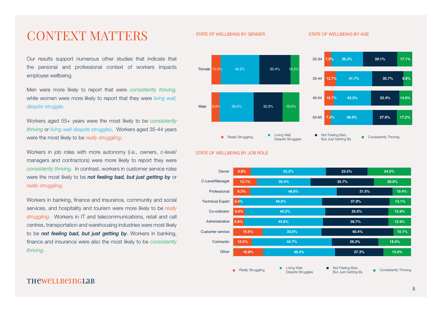### CONTEXT MATTERS

Our results support numerous other studies that indicate that the personal and professional context of workers impacts employee wellbeing.

Men were more likely to report that were consistently thriving. while women were more likely to report that they were *living well*, despite struggle.

Workers aged 55+ years were the most likely to be consistently thriving or living well despite struggles. Workers aged 35-44 years were the most likely to be really struggling.

Workers in job roles with more autonomy (i.e., owners, c-level/ managers and contractors) were more likely to report they were consistently thriving. In contrast, workers in customer service roles were the most likely to be not feeling bad, but just getting by or really struggling.

Workers in banking, finance and insurance, community and social services, and hospitality and tourism were more likely to be really struggling. Workers in IT and telecommunications, retail and call centres, transportation and warehousing industries were most likely to be not feeling bad, but just getting by. Workers in banking, finance and insurance were also the most likely to be consistently thriving.

#### STATE OF WELLBEING BY GENDER





STATE OF WELLBEING BY AGE

Not Feeling Bad, Not Feeling Bad,<br>But Just Getting By **Demonstrative Consistently Thriving** 



Despite Struggles

#### STATE OF WELLBEING BY JOB ROLE

#### **THEWELLBEINGLAB**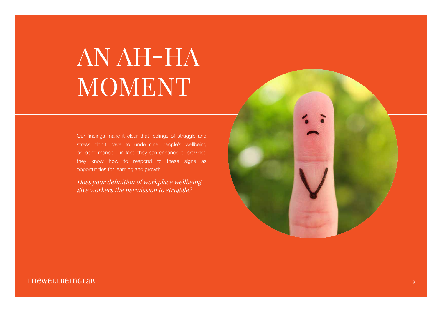# AN AH-HA MOMENT

Our findings make it clear that feelings of struggle and stress don't have to undermine people's wellbeing or performance – in fact, they can enhance it provided they know how to respond to these signs as

opportunities for learning and growth.<br>Does your definition of workplace wellbeing give wour definition of workplace wellbeing<br>give workers the permission to struggle?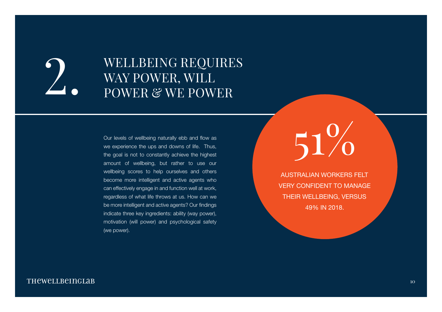## WELLBEING REQUIRES WAY POWER, WILL POWER & WE POWER

Our levels of wellbeing naturally ebb and flow as we experience the ups and downs of life. Thus, the goal is not to constantly achieve the highest amount of wellbeing, but rather to use our wellbeing scores to help ourselves and others become more intelligent and active agents who can effectively engage in and function well at work, regardless of what life throws at us. How can we be more intelligent and active agents? Our findings indicate three key ingredients: ability (way power), motivation (will power) and psychological safety (we power).

# 51%

AUSTRALIAN WORKERS FELT VERY CONFIDENT TO MANAGE THEIR WELLBEING, VERSUS 49% IN 2018.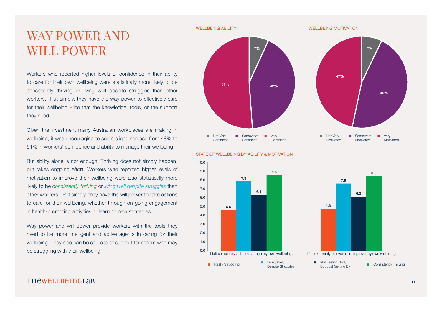## WAY POWER AND WILL POWER

Workers who reported higher levels of confidence in their ability to care for their own wellbeing were statistically more likely to be consistently thriving or living well despite struggles than other workers. Put simply, they have the way power to effectively care for their wellbeing – be that the knowledge, tools, or the support they need.

Given the investment many Australian workplaces are making in wellbeing, it was encouraging to see a slight increase from 48% to 51% in workers' confidence and ability to manage their wellbeing.

But ability alone is not enough. Thriving does not simply happen, but takes ongoing effort. Workers who reported higher levels of motivation to improve their wellbeing were also statistically more likely to be consistently thriving or living well despite struggles than other workers. Put simply, they have the will power to take actions to care for their wellbeing, whether through on-going engagement in health-promoting activities or learning new strategies.

Way power and will power provide workers with the tools they need to be more intelligent and active agents in caring for their wellbeing. They also can be sources of support for others who may be struggling with their wellbeing.



#### STATE OF WELLBEING BY ABILITY & MOTIVATION



#### the well being a state of the state of the state of the state of the state of the state of the state of the state of the state of the state of the state of the state of the state of the state of the state of the state of t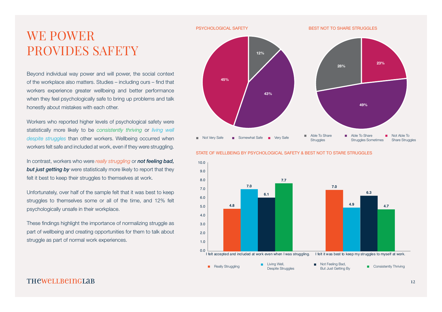## WE POWER PROVIDES SAFETY

Beyond individual way power and will power, the social context of the workplace also matters. Studies – including ours – find that workers experience greater wellbeing and better performance when they feel psychologically safe to bring up problems and talk honestly about mistakes with each other.

Workers who reported higher levels of psychological safety were statistically more likely to be consistently thriving or living well despite struggles than other workers. Wellbeing occurred when workers felt safe and included at work, even if they were struggling.

In contrast, workers who were really struggling or not feeling bad, but just getting by were statistically more likely to report that they felt it best to keep their struggles to themselves at work.

Unfortunately, over half of the sample felt that it was best to keep struggles to themselves some or all of the time, and 12% felt psychologically unsafe in their workplace.

These findings highlight the importance of normalizing struggle as part of wellbeing and creating opportunities for them to talk about struggle as part of normal work experiences.



#### STATE OF WELLBEING BY PSYCHOLOGICAL SAFETY & BEST NOT TO STARE STRUGGLES



#### thewell beinglab 12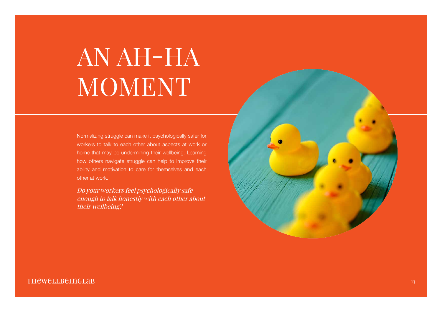# AN AH-HA MOMENT

Normalizing struggle can make it psychologically safer for workers to talk to each other about aspects at work or home that may be undermining their wellbeing. Learning how others navigate struggle can help to improve their ability and motivation to care for themselves and each

other at work.<br>Do your workers feel psychologically safe Do your workers feel psychologically safe<br>enough to talk honestly with each other about *Do your workers feel<br>enough to talk hones<br>their wellbeing?* 

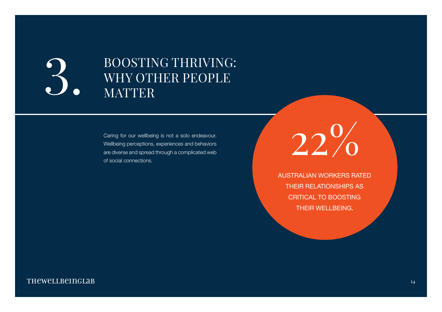## 3. BOOSTING THRIVING: WHY OTHER PEOPLE **MATTER**

Caring for our wellbeing is not a solo endeavour. Wellbeing perceptions, experiences and behaviors are diverse and spread through a complicated web of social connections.

# 22%

AUSTRALIAN WORKERS RATED THEIR RELATIONSHIPS AS CRITICAL TO BOOSTING THEIR WELLBEING.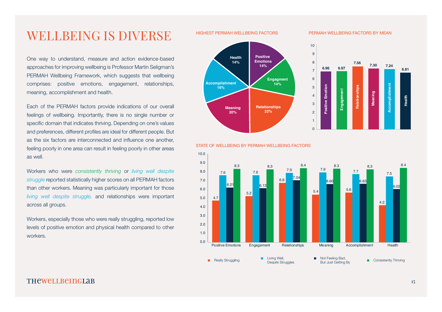### WELLBEING IS DIVERSE

One way to understand, measure and action evidence-based approaches for improving wellbeing is Professor Martin Seligman's PERMAH Wellbeing Framework, which suggests that wellbeing comprises: positive emotions, engagement, relationships, meaning, accomplishment and health.

Each of the PERMAH factors provide indications of our overall feelings of wellbeing. Importantly, there is no single number or specific domain that indicates thriving. Depending on one's values and preferences, different profiles are ideal for different people. But as the six factors are interconnected and influence one another, feeling poorly in one area can result in feeling poorly in other areas as well.

Workers who were consistently thriving or living well despite struggle reported statistically higher scores on all PERMAH factors than other workers. Meaning was particularly important for those living well despite struggle, and relationships were important across all groups.

Workers, especially those who were really struggling, reported low levels of positive emotion and physical health compared to other workers.

#### HIGHEST PERMAH WELLBEING FACTORS





PERMAH WELLBEING FACTORS BY MEAN

#### STATE OF WELLBEING BY PERMAH WELLBEING FACTORS



#### THEWELLBEINGLAB 15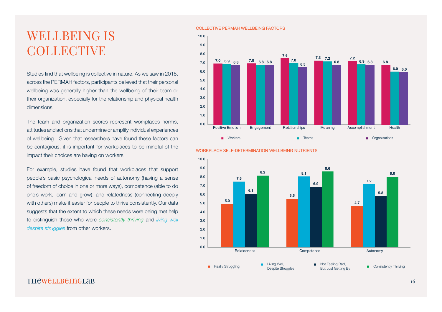## WELLBEING IS **COLLECTIVE**

Studies find that wellbeing is collective in nature. As we saw in 2018, across the PERMAH factors, participants believed that their personal wellbeing was generally higher than the wellbeing of their team or their organization, especially for the relationship and physical health dimensions.

The team and organization scores represent workplaces norms, attitudes and actions that undermine or amplify individual experiences of wellbeing. Given that researchers have found these factors can be contagious, it is important for workplaces to be mindful of the impact their choices are having on workers.

For example, studies have found that workplaces that support people's basic psychological needs of autonomy (having a sense of freedom of choice in one or more ways), competence (able to do one's work, learn and grow), and relatedness (connecting deeply with others) make it easier for people to thrive consistently. Our data suggests that the extent to which these needs were being met help to distinguish those who were consistently thriving and living well despite struggles from other workers.

#### COLLECTIVE PERMAH WELLBEING FACTORS



#### WORKPLACE SELF-DETERMINATION WELLBEING NUTRIENTS

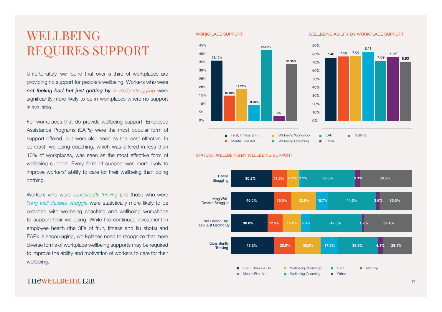## WELLBEING REQUIRES SUPPORT

Unfortunately, we found that over a third of workplaces are providing no support for people's wellbeing. Workers who were not feeling bad but just getting by or really struggling were significantly more likely to be in workplaces where no support is available.

For workplaces that do provide wellbeing support, Employee Assistance Programs (EAPs) were the most popular form of support offered, but were also seen as the least effective. In contrast, wellbeing coaching, which was offered in less than 10% of workplaces, was seen as the most effective form of wellbeing support. Every form of support was more likely to improve workers' ability to care for their wellbeing than doing nothing.

Workers who were *consistently thriving* and those who were living well despite struggle were statistically more likely to be provided with wellbeing coaching and wellbeing workshops to support their wellbeing. While the continued investment in employee health (the 3Fs of fruit, fitness and flu shots) and EAPs is encouraging, workplaces need to recognize that more diverse forms of workplace wellbeing supports may be required to improve the ability and motivation of workers to care for their wellbeing.

#### WORKPLACE SUPPORT



#### STATE OF WELLBEING BY WELLBEING SUPPORT



#### WELLBEING ABILITY BY WORKPLACE SUPPORT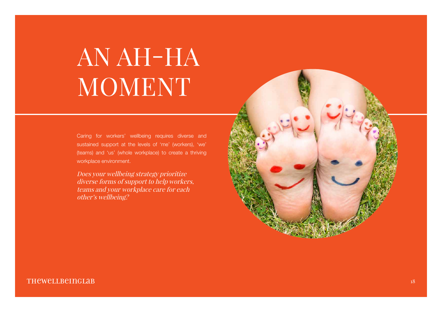## AN AH-HA MOMENT

Caring for workers' wellbeing requires diverse and sustained support at the levels of 'me' (workers), 'we' (teams) and 'us' (whole workplace) to create a thriving workplace environment.<br>Does your wellbeing strategy prioritize

diverse forms of support to help workers, Does your wellbeing strategy prioritize<br>diverse forms of support to help workers,<br>teams and your workplace care for each<br>ather's wellbeins? diverse forms of suppo<br>teams and your workpl<br>other's wellbeing?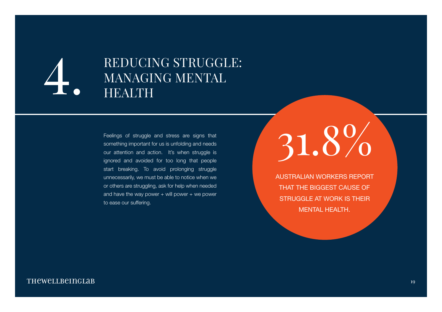## REDUCING STRUGGLE: MANAGING MENTAL HEALTH.

Feelings of struggle and stress are signs that something important for us is unfolding and needs our attention and action. It's when struggle is ignored and avoided for too long that people start breaking. To avoid prolonging struggle unnecessarily, we must be able to notice when we or others are struggling, ask for help when needed and have the way power  $+$  will power  $+$  we power to ease our suffering.

# 31.8%

AUSTRALIAN WORKERS REPORT THAT THE BIGGEST CAUSE OF STRUGGLE AT WORK IS THEIR MENTAL HEALTH.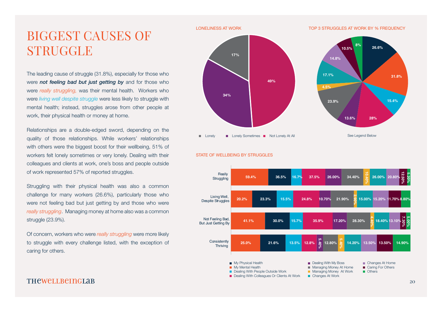## BIGGEST CAUSES OF STRUGGLE

The leading cause of struggle (31.8%), especially for those who were **not feeling bad but just getting by** and for those who were really struggling, was their mental health. Workers who were *living well despite struggle* were less likely to struggle with mental health; instead, struggles arose from other people at work, their physical health or money at home.

Relationships are a double-edged sword, depending on the quality of those relationships. While workers' relationships with others were the biggest boost for their wellbeing, 51% of workers felt lonely sometimes or very lonely. Dealing with their colleagues and clients at work, one's boss and people outside of work represented 57% of reported struggles.

Struggling with their physical health was also a common challenge for many workers (26.6%), particularly those who were not feeling bad but just getting by and those who were really struggling. Managing money at home also was a common struggle (23.9%).

Of concern, workers who were really struggling were more likely to struggle with every challenge listed, with the exception of caring for others.



#### STATE OF WELLBEING BY STRUGGLES

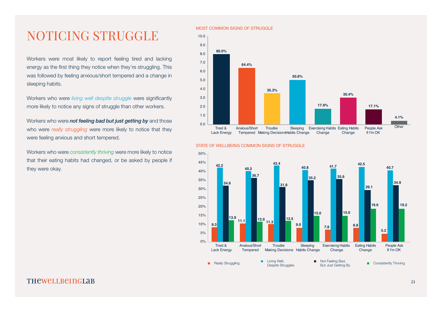## NOTICING STRUGGLE

Workers were most likely to report feeling tired and lacking energy as the first thing they notice when they're struggling. This was followed by feeling anxious/short tempered and a change in sleeping habits.

Workers who were *living well despite struggle* were significantly more likely to notice any signs of struggle than other workers.

Workers who were not feeling bad but just getting by and those who were really struggling were more likely to notice that they were feeling anxious and short tempered.

Workers who were consistently thriving were more likely to notice that their eating habits had changed, or be asked by people if they were okay.

#### MOST COMMON SIGNS OF STRUGGLE



STATE OF WELLBEING COMMON SIGNS OF STRUGGLE

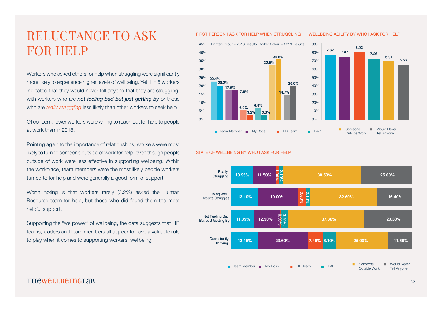## RELUCTANCE TO ASK FOR HELP

Workers who asked others for help when struggling were significantly more likely to experience higher levels of wellbeing. Yet 1 in 5 workers indicated that they would never tell anyone that they are struggling, with workers who are not feeling bad but just getting by or those who are really struggling less likely than other workers to seek help.

Of concern, fewer workers were willing to reach out for help to people at work than in 2018.

Pointing again to the importance of relationships, workers were most likely to turn to someone outside of work for help, even though people outside of work were less effective in supporting wellbeing. Within the workplace, team members were the most likely people workers turned to for help and were generally a good form of support.

Worth noting is that workers rarely (3.2%) asked the Human Resource team for help, but those who did found them the most helpful support.

Supporting the "we power" of wellbeing, the data suggests that HR teams, leaders and team members all appear to have a valuable role to play when it comes to supporting workers' wellbeing.

#### FIRST PERSON I ASK FOR HELP WHEN STRUGGLING

#### 0% 5% 10% 15% 20% 25% 30% 35% 40% 45% **22.4% 6.0% 6.9% 32.5% 20.2% 17.8% 35.6% 20.0% 17.6% 14.7% 3.2% 3.3%** 0% 10% 20% 30% 40% 50% 60% 70% 80% 90% **7.67 7.47 8.03 7.26 6.91 6.53** Lighter Colour = 2018 Results Darker Colour = 2019 Results Theam Member **No. 2008** My Boss **Theory of the Team <b>EAP** Someone Outside Work **Would Never** Tell Anyone

#### STATE OF WELLBEING BY WHO I ASK FOR HELP



#### thewell beinglab 22 and 22 and 23 and 23 and 23 and 23 and 23 and 23 and 23 and 23 and 23 and 23 and 23 and 23

#### WELLBEING ABILITY BY WHO I ASK FOR HELP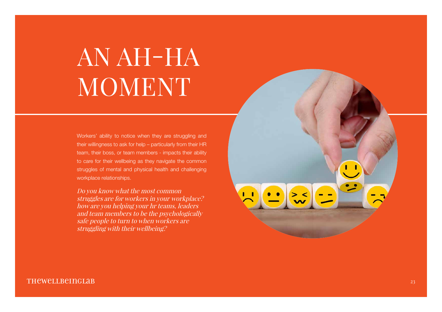# AN AH-HA MOMENT

Workers' ability to notice when they are struggling and their willingness to ask for help – particularly from their HR team, their boss, or team members - impacts their ability to care for their wellbeing as they navigate the common struggles of mental and physical health and challenging workplace relationships.<br>Do you know what the most common

Do you know what the most common<br>struggles are for workers in your workplace?<br>have an you halping your by towns, loodons Do you know what the most common<br>struggles are for workers in your workplace?<br>how are you helping your hr teams, leaders<br>and team mambarg to be the newshologically. struggles are for workers in your workplace?<br>how are you helping your hr teams, leaders<br>and team members to be the psychologically<br>safe pasple to turn to viben workers are how are you helping your hr teams, leaders<br>and team members to be the psychologically<br>safe people to turn to when workers are<br>struggling with their wallboing? safe people to turn to when workers are<br>struggling with their wellbeing?

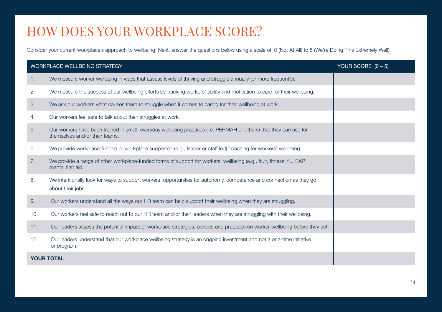## HOW DOES YOUR WORKPLACE SCORE?

Consider your current workplace's approach to wellbeing. Next, answer the questions below using a scale of: 0 (Not At All) to 5 (We're Doing This Extremely Well).

|                | WORKPLACE WELLBEING STRATEGY                                                                                                                         | YOUR SCORE $(0 - 5)$ |
|----------------|------------------------------------------------------------------------------------------------------------------------------------------------------|----------------------|
| $\mathbf{1}$ . | We measure worker wellbeing in ways that assess levels of thriving and struggle annually (or more frequently).                                       |                      |
| 2.             | We measure the success of our wellbeing efforts by tracking workers' ability and motivation to care for their wellbeing.                             |                      |
| 3.             | We ask our workers what causes them to struggle when it comes to caring for their wellbeing at work.                                                 |                      |
| 4.             | Our workers feel safe to talk about their struggles at work.                                                                                         |                      |
| 5.             | Our workers have been trained in small, everyday wellbeing practices (i.e. PERMAH or others) that they can use for<br>themselves and/or their teams. |                      |
| 6.             | We provide workplace-funded or workplace supported (e.g., leader or staff led) coaching for workers' wellbeing.                                      |                      |
| 7.             | We provide a range of other workplace-funded forms of support for workers' wellbeing (e.g., fruit, fitness, flu, EAP,<br>mental first aid.           |                      |
| 8.             | We intentionally look for ways to support workers' opportunities for autonomy, competence and connection as they go<br>about their jobs.             |                      |
| 9.             | Our workers understand all the ways our HR team can help support their wellbeing when they are struggling.                                           |                      |
| 10.            | Our workers feel safe to reach out to our HR team and/or their leaders when they are struggling with their wellbeing.                                |                      |
| 11.            | Our leaders assess the potential impact of workplace strategies, policies and practices on worker wellbeing before they act.                         |                      |
| 12.            | Our leaders understand that our workplace wellbeing strategy is an ongoing investment and not a one-time initiative<br>or program.                   |                      |
|                | <b>YOUR TOTAL</b>                                                                                                                                    |                      |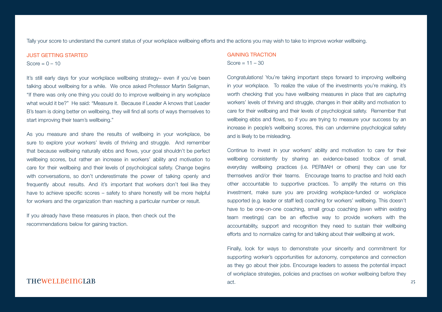Tally your score to understand the current status of your workplace wellbeing efforts and the actions you may wish to take to improve worker wellbeing.

#### JUST GETTING STARTED

Score  $= 0 - 10$ 

It's still early days for your workplace wellbeing strategy- even if you've been talking about wellbeing for a while. We once asked Professor Martin Seligman, "If there was only one thing you could do to improve wellbeing in any workplace what would it be?" He said: "Measure it. Because if Leader A knows that Leader B's team is doing better on wellbeing, they will find all sorts of ways themselves to start improving their team's wellbeing."

As you measure and share the results of wellbeing in your workplace, be sure to explore your workers' levels of thriving and struggle. And remember that because wellbeing naturally ebbs and flows, your goal shouldn't be perfect wellbeing scores, but rather an increase in workers' ability and motivation to care for their wellbeing and their levels of psychological safety. Change begins with conversations, so don't underestimate the power of talking openly and frequently about results. And it's important that workers don't feel like they have to achieve specific scores – safety to share honestly will be more helpful for workers and the organization than reaching a particular number or result.

If you already have these measures in place, then check out the recommendations below for gaining traction.

#### GAINING TRACTION  $Score = 11 - 30$

Congratulations! You're taking important steps forward to improving wellbeing in your workplace. To realize the value of the investments you're making, it's worth checking that you have wellbeing measures in place that are capturing workers' levels of thriving and struggle, changes in their ability and motivation to care for their wellbeing and their levels of psychological safety. Remember that wellbeing ebbs and flows, so if you are trying to measure your success by an increase in people's wellbeing scores, this can undermine psychological safety and is likely to be misleading.

Continue to invest in your workers' ability and motivation to care for their wellbeing consistently by sharing an evidence-based toolbox of small, everyday wellbeing practices (i.e. PERMAH or others) they can use for themselves and/or their teams. Encourage teams to practise and hold each other accountable to supportive practices. To amplify the returns on this investment, make sure you are providing workplace-funded or workplace supported (e.g. leader or staff led) coaching for workers' wellbeing. This doesn't have to be one-on-one coaching, small group coaching (even within existing team meetings) can be an effective way to provide workers with the accountability, support and recognition they need to sustain their wellbeing efforts and to normalize caring for and talking about their wellbeing at work.

Finally, look for ways to demonstrate your sincerity and commitment for supporting worker's opportunities for autonomy, competence and connection as they go about their jobs. Encourage leaders to assess the potential impact of workplace strategies, policies and practises on worker wellbeing before they act.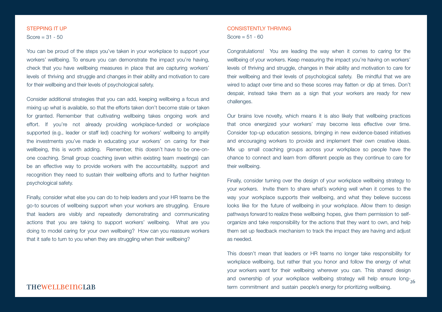#### STEPPING IT UP

 $Score = 31 - 50$ 

You can be proud of the steps you've taken in your workplace to support your workers' wellbeing. To ensure you can demonstrate the impact you're having, check that you have wellbeing measures in place that are capturing workers' levels of thriving and struggle and changes in their ability and motivation to care for their wellbeing and their levels of psychological safety.

Consider additional strategies that you can add, keeping wellbeing a focus and mixing up what is available, so that the efforts taken don't become stale or taken for granted. Remember that cultivating wellbeing takes ongoing work and effort. If you're not already providing workplace-funded or workplace supported (e.g., leader or staff led) coaching for workers' wellbeing to amplify the investments you've made in educating your workers' on caring for their wellbeing, this is worth adding. Remember, this doesn't have to be one-onone coaching. Small group coaching (even within existing team meetings) can be an effective way to provide workers with the accountability, support and recognition they need to sustain their wellbeing efforts and to further heighten psychological safety.

Finally, consider what else you can do to help leaders and your HR teams be the go-to sources of wellbeing support when your workers are struggling. Ensure that leaders are visibly and repeatedly demonstrating and communicating actions that you are taking to support workers' wellbeing. What are you doing to model caring for your own wellbeing? How can you reassure workers that it safe to turn to you when they are struggling when their wellbeing?

#### CONSISTENTLY THRIVING Score =  $51 - 60$

Congratulations! You are leading the way when it comes to caring for the wellbeing of your workers. Keep measuring the impact you're having on workers' levels of thriving and struggle, changes in their ability and motivation to care for their wellbeing and their levels of psychological safety. Be mindful that we are wired to adapt over time and so these scores may flatten or dip at times. Don't despair, instead take them as a sign that your workers are ready for new challenges.

Our brains love novelty, which means it is also likely that wellbeing practices that once energized your workers' may become less effective over time. Consider top-up education sessions, bringing in new evidence-based initiatives and encouraging workers to provide and implement their own creative ideas. Mix up small coaching groups across your workplace so people have the chance to connect and learn from different people as they continue to care for their wellbeing.

Finally, consider turning over the design of your workplace wellbeing strategy to your workers. Invite them to share what's working well when it comes to the way your workplace supports their wellbeing, and what they believe success looks like for the future of wellbeing in your workplace. Allow them to design pathways forward to realize these wellbeing hopes, give them permission to selforganize and take responsibility for the actions that they want to own, and help them set up feedback mechanism to track the impact they are having and adjust as needed.

and ownership of your workplace wellbeing strategy will help ensure long- $_{\rm 26}$ This doesn't mean that leaders or HR teams no longer take responsibility for workplace wellbeing, but rather that you honor and follow the energy of what your workers want for their wellbeing wherever you can. This shared design term commitment and sustain people's energy for prioritizing wellbeing.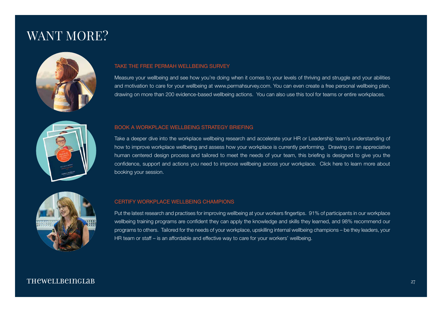## WANT MORE?



#### TAKE THE FREE PERMAH WELLBEING SURVEY

Measure your wellbeing and see how you're doing when it comes to your levels of thriving and struggle and your abilities and motivation to care for your wellbeing at www.permahsurvey.com. You can even create a free personal wellbeing plan, drawing on more than 200 evidence-based wellbeing actions. You can also use this tool for teams or entire workplaces.



#### BOOK A WORKPLACE WELLBEING STRATEGY BRIEFING

Take a deeper dive into the workplace wellbeing research and accelerate your HR or Leadership team's understanding of how to improve workplace wellbeing and assess how your workplace is currently performing. Drawing on an appreciative human centered design process and tailored to meet the needs of your team, this briefing is designed to give you the confidence, support and actions you need to improve wellbeing across your workplace. Click here to learn more about booking your session.



#### CERTIFY WORKPLACE WELLBEING CHAMPIONS

Put the latest research and practises for improving wellbeing at your workers fingertips. 91% of participants in our workplace wellbeing training programs are confident they can apply the knowledge and skills they learned, and 98% recommend our programs to others. Tailored for the needs of your workplace, upskilling internal wellbeing champions – be they leaders, your HR team or staff – is an affordable and effective way to care for your workers' wellbeing.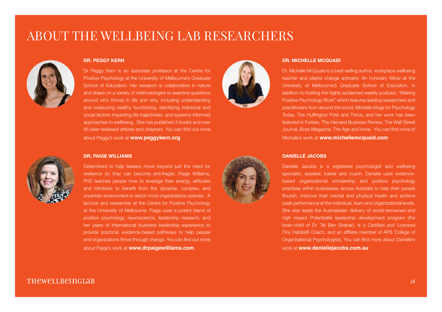## ABOUT THE WELLBEING LAB RESEARCHERS



#### DR. PEGGY KERN

Dr Peggy Kern is an associate professor at the Centre for Positive Psychology at the University of Melbourne's Graduate School of Education. Her research is collaborative in nature and draws on a variety of methodologies to examine questions around who thrives in life and why, including understanding and measuring healthy functioning, identifying individual and social factors impacting life trajectories, and systems informed approaches to wellbeing. She has published 3 books and over 85 peer-reviewed articles and chapters. You can find out more about Peggy's work at **[www.peggykern.org](http://www.peggykern.org)**



#### DR. MICHELLE MCQUAID

Dr. Michelle McQuaid is a best-selling author, workplace wellbeing teacher and playful change activator. An honorary fellow at the University of Melbourne's Graduate School of Education, in addition to hosting the highly acclaimed weekly podcast, "Making Positive Psychology Work" which features leading researchers and practitioners from around the world, Michelle blogs for Psychology Today, The Huffington Post and Thrive, and her work has been featured in Forbes, The Harvard Business Review, The Wall Street Journal, Boss Magazine, The Age and more. You can find more of Michelle's work at **[www.michellemcquaid.com](http://www.michellemcquaid.com)**



#### DR. PAIGE WILLIAMS

Determined to help leaders move beyond just the need for resilience so they can become anti-fragile. Paige Williams, PhD teaches people how to leverage their energy, attitudes and mindsets to benefit from the dynamic, complex, and uncertain environment in which most organizations operate. A lecturer and researcher at the Centre for Positive Psychology at the University of Melbourne, Paige uses a potent blend of positive psychology, neuroscience, leadership research, and her years of international business leadership experience to provide practical, evidence-based pathways to help people and organizations thrive through change. You can find out more about Paige's work at **[www.drpaigewilliams.com](http://www.drpaigewilliams.com)**.



#### DANIELLE JACOBS

Danielle Jacobs is a registered psychologist and wellbeing specialist, speaker, trainer and coach. Danielle uses evidencebased organizational scholarship and positive psychology practises within businesses across Australia to help their people flourish, improve their mental and physical health and achieve peak performance at the individual, team and organizational levels. She also leads the Australasian delivery of world-renowned and high impact Potentialife leadership development program (the brain-child of Dr. Tal Ben Shahar), is a Certified and Licensed Tiny Habits® Coach, and an affiliate member of APS College of Organisational Psychologists. You can find more about Danielle's work at **[www.daniellejacobs.com.au](http://www.daniellejacobs.com.au)**